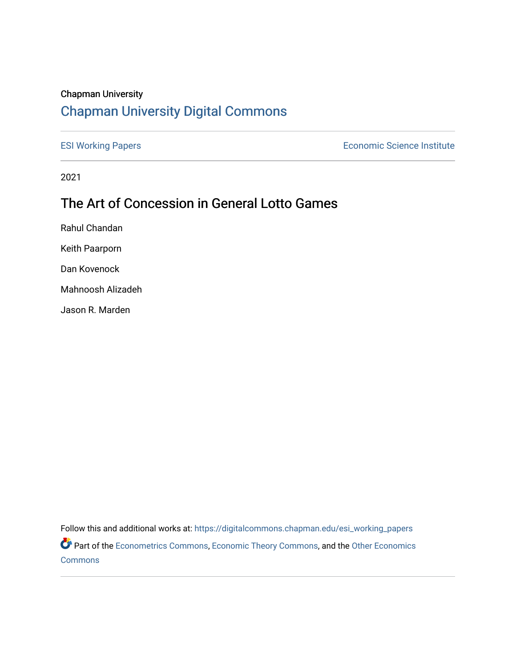# Chapman University

# [Chapman University Digital Commons](https://digitalcommons.chapman.edu/)

[ESI Working Papers](https://digitalcommons.chapman.edu/esi_working_papers) **Example 2018** Economic Science Institute

2021

# The Art of Concession in General Lotto Games

Rahul Chandan

Keith Paarporn

Dan Kovenock

Mahnoosh Alizadeh

Jason R. Marden

Follow this and additional works at: [https://digitalcommons.chapman.edu/esi\\_working\\_papers](https://digitalcommons.chapman.edu/esi_working_papers?utm_source=digitalcommons.chapman.edu%2Fesi_working_papers%2F364&utm_medium=PDF&utm_campaign=PDFCoverPages) Part of the [Econometrics Commons](http://network.bepress.com/hgg/discipline/342?utm_source=digitalcommons.chapman.edu%2Fesi_working_papers%2F364&utm_medium=PDF&utm_campaign=PDFCoverPages), [Economic Theory Commons](http://network.bepress.com/hgg/discipline/344?utm_source=digitalcommons.chapman.edu%2Fesi_working_papers%2F364&utm_medium=PDF&utm_campaign=PDFCoverPages), and the [Other Economics](http://network.bepress.com/hgg/discipline/353?utm_source=digitalcommons.chapman.edu%2Fesi_working_papers%2F364&utm_medium=PDF&utm_campaign=PDFCoverPages) 

[Commons](http://network.bepress.com/hgg/discipline/353?utm_source=digitalcommons.chapman.edu%2Fesi_working_papers%2F364&utm_medium=PDF&utm_campaign=PDFCoverPages)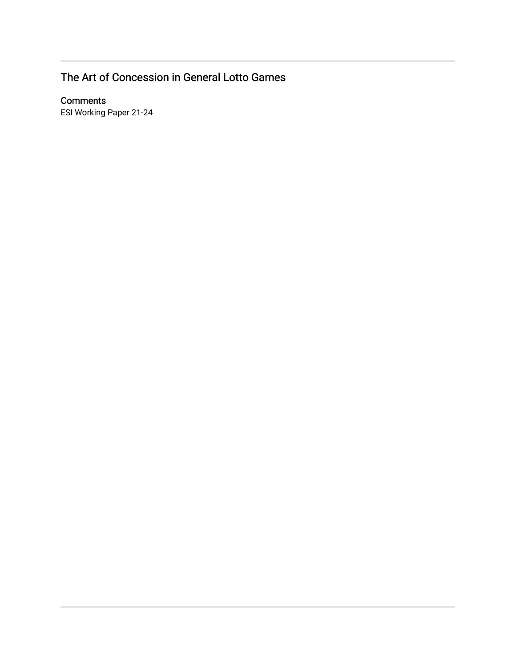# The Art of Concession in General Lotto Games

# **Comments**

ESI Working Paper 21-24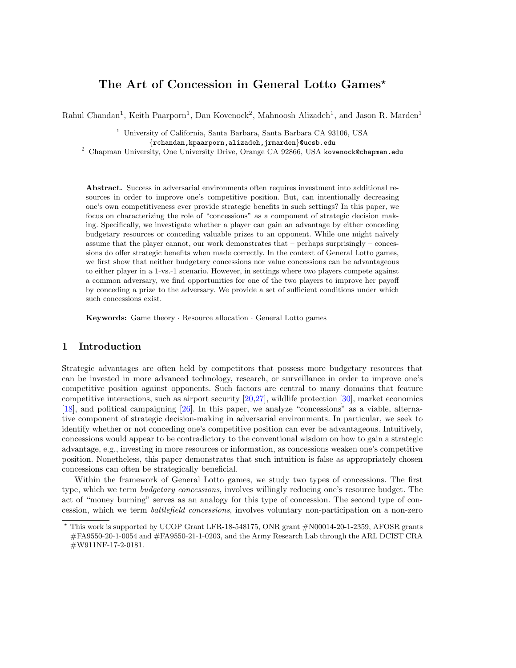# The Art of Concession in General Lotto Games<sup>\*</sup>

Rahul Chandan<sup>1</sup>, Keith Paarporn<sup>1</sup>, Dan Kovenock<sup>2</sup>, Mahnoosh Alizadeh<sup>1</sup>, and Jason R. Marden<sup>1</sup>

<sup>1</sup> University of California, Santa Barbara, Santa Barbara CA 93106, USA {rchandan,kpaarporn,alizadeh,jrmarden}@ucsb.edu

<sup>2</sup> Chapman University, One University Drive, Orange CA 92866, USA kovenock@chapman.edu

Abstract. Success in adversarial environments often requires investment into additional resources in order to improve one's competitive position. But, can intentionally decreasing one's own competitiveness ever provide strategic benefits in such settings? In this paper, we focus on characterizing the role of "concessions" as a component of strategic decision making. Specifically, we investigate whether a player can gain an advantage by either conceding budgetary resources or conceding valuable prizes to an opponent. While one might naïvely assume that the player cannot, our work demonstrates that – perhaps surprisingly – concessions do offer strategic benefits when made correctly. In the context of General Lotto games, we first show that neither budgetary concessions nor value concessions can be advantageous to either player in a 1-vs.-1 scenario. However, in settings where two players compete against a common adversary, we find opportunities for one of the two players to improve her payoff by conceding a prize to the adversary. We provide a set of sufficient conditions under which such concessions exist.

Keywords: Game theory · Resource allocation · General Lotto games

## 1 Introduction

Strategic advantages are often held by competitors that possess more budgetary resources that can be invested in more advanced technology, research, or surveillance in order to improve one's competitive position against opponents. Such factors are central to many domains that feature competitive interactions, such as airport security  $[20,27]$  $[20,27]$ , wildlife protection  $[30]$ , market economics [\[18\]](#page-16-3), and political campaigning [\[26\]](#page-16-4). In this paper, we analyze "concessions" as a viable, alternative component of strategic decision-making in adversarial environments. In particular, we seek to identify whether or not conceding one's competitive position can ever be advantageous. Intuitively, concessions would appear to be contradictory to the conventional wisdom on how to gain a strategic advantage, e.g., investing in more resources or information, as concessions weaken one's competitive position. Nonetheless, this paper demonstrates that such intuition is false as appropriately chosen concessions can often be strategically beneficial.

Within the framework of General Lotto games, we study two types of concessions. The first type, which we term *budgetary concessions*, involves willingly reducing one's resource budget. The act of "money burning" serves as an analogy for this type of concession. The second type of concession, which we term battlefield concessions, involves voluntary non-participation on a non-zero

<sup>⋆</sup> This work is supported by UCOP Grant LFR-18-548175, ONR grant #N00014-20-1-2359, AFOSR grants #FA9550-20-1-0054 and #FA9550-21-1-0203, and the Army Research Lab through the ARL DCIST CRA #W911NF-17-2-0181.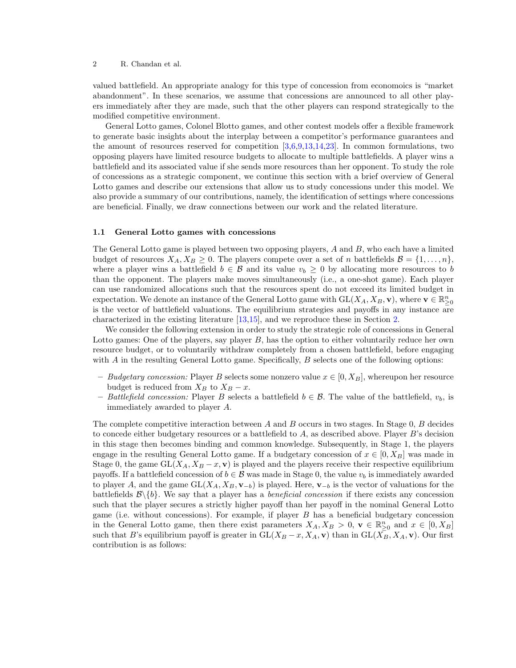valued battlefield. An appropriate analogy for this type of concession from economoics is "market abandonment". In these scenarios, we assume that concessions are announced to all other players immediately after they are made, such that the other players can respond strategically to the modified competitive environment.

General Lotto games, Colonel Blotto games, and other contest models offer a flexible framework to generate basic insights about the interplay between a competitor's performance guarantees and the amount of resources reserved for competition  $[3,6,9,13,14,23]$  $[3,6,9,13,14,23]$  $[3,6,9,13,14,23]$  $[3,6,9,13,14,23]$  $[3,6,9,13,14,23]$  $[3,6,9,13,14,23]$ . In common formulations, two opposing players have limited resource budgets to allocate to multiple battlefields. A player wins a battlefield and its associated value if she sends more resources than her opponent. To study the role of concessions as a strategic component, we continue this section with a brief overview of General Lotto games and describe our extensions that allow us to study concessions under this model. We also provide a summary of our contributions, namely, the identification of settings where concessions are beneficial. Finally, we draw connections between our work and the related literature.

#### <span id="page-3-0"></span>1.1 General Lotto games with concessions

The General Lotto game is played between two opposing players,  $A$  and  $B$ , who each have a limited budget of resources  $X_A, X_B \geq 0$ . The players compete over a set of n battlefields  $\mathcal{B} = \{1, \ldots, n\}$ , where a player wins a battlefield  $b \in \mathcal{B}$  and its value  $v_b \geq 0$  by allocating more resources to b than the opponent. The players make moves simultaneously (i.e., a one-shot game). Each player can use randomized allocations such that the resources spent do not exceed its limited budget in expectation. We denote an instance of the General Lotto game with  $GL(X_A, X_B, \mathbf{v})$ , where  $\mathbf{v} \in \mathbb{R}_{\geq 0}^n$ is the vector of battlefield valuations. The equilibrium strategies and payoffs in any instance are characterized in the existing literature [\[13,](#page-16-5)[15\]](#page-16-8), and we reproduce these in Section [2.](#page-6-0)

We consider the following extension in order to study the strategic role of concessions in General Lotto games: One of the players, say player B, has the option to either voluntarily reduce her own resource budget, or to voluntarily withdraw completely from a chosen battlefield, before engaging with  $A$  in the resulting General Lotto game. Specifically,  $B$  selects one of the following options:

- Budgetary concession: Player B selects some nonzero value  $x \in [0, X_B]$ , whereupon her resource budget is reduced from  $X_B$  to  $X_B - x$ .
- Battlefield concession: Player B selects a battlefield  $b \in \mathcal{B}$ . The value of the battlefield,  $v_b$ , is immediately awarded to player A.

The complete competitive interaction between A and B occurs in two stages. In Stage  $0, B$  decides to concede either budgetary resources or a battlefield to  $A$ , as described above. Player  $B$ 's decision in this stage then becomes binding and common knowledge. Subsequently, in Stage 1, the players engage in the resulting General Lotto game. If a budgetary concession of  $x \in [0, X_B]$  was made in Stage 0, the game  $GL(X_A, X_B - x, v)$  is played and the players receive their respective equilibrium payoffs. If a battlefield concession of  $b \in \mathcal{B}$  was made in Stage 0, the value  $v_b$  is immediately awarded to player A, and the game  $GL(X_A, X_B, v_{-b})$  is played. Here,  $v_{-b}$  is the vector of valuations for the battlefields  $\mathcal{B}\setminus\{b\}$ . We say that a player has a *beneficial concession* if there exists any concession such that the player secures a strictly higher payoff than her payoff in the nominal General Lotto game (i.e. without concessions). For example, if player  $B$  has a beneficial budgetary concession in the General Lotto game, then there exist parameters  $X_A, X_B > 0$ ,  $\mathbf{v} \in \mathbb{R}^n_{\geq 0}$  and  $x \in [0, X_B]$ such that B's equilibrium payoff is greater in  $GL(X_B - x, X_A, v)$  than in  $GL(X_B, X_A, v)$ . Our first contribution is as follows: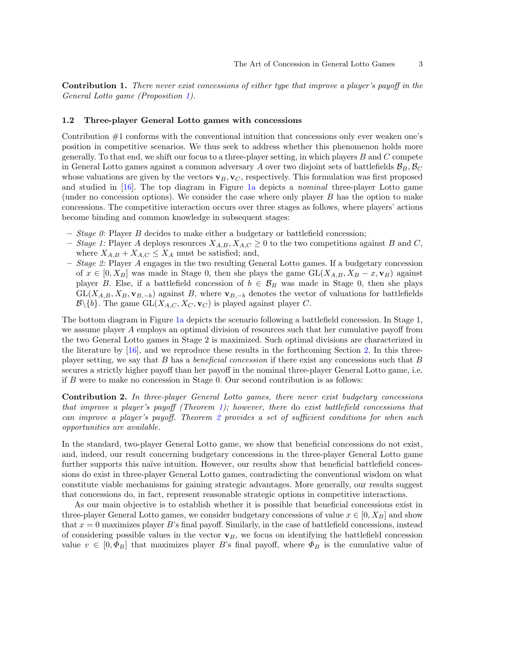Contribution 1. There never exist concessions of either type that improve a player's payoff in the General Lotto game (Proposition [1\)](#page-7-0).

#### 1.2 Three-player General Lotto games with concessions

Contribution #1 conforms with the conventional intuition that concessions only ever weaken one's position in competitive scenarios. We thus seek to address whether this phenomenon holds more generally. To that end, we shift our focus to a three-player setting, in which players  $B$  and  $C$  compete in General Lotto games against a common adversary A over two disjoint sets of battlefields  $B_B$ ,  $B_C$ whose valuations are given by the vectors  $\mathbf{v}_B, \mathbf{v}_C$ , respectively. This formulation was first proposed and studied in [\[16\]](#page-16-9). The top diagram in Figure [1a](#page-6-1) depicts a *nominal* three-player Lotto game (under no concession options). We consider the case where only player  $B$  has the option to make concessions. The competitive interaction occurs over three stages as follows, where players' actions become binding and common knowledge in subsequent stages:

- *Stage 0:* Player B decides to make either a budgetary or battlefield concession;
- Stage 1: Player A deploys resources  $X_{A,B}, X_{A,C} \geq 0$  to the two competitions against B and C, where  $X_{A,B} + X_{A,C} \leq X_A$  must be satisfied; and,
- $-$  Stage 2: Player A engages in the two resulting General Lotto games. If a budgetary concession of  $x \in [0, X_B]$  was made in Stage 0, then she plays the game  $GL(X_{A,B}, X_B - x, v_B)$  against player B. Else, if a battlefield concession of  $b \in \mathcal{B}_B$  was made in Stage 0, then she plays  $GL(X_{A,B}, X_{B}, \mathbf{v}_{B,-b})$  against B, where  $\mathbf{v}_{B,-b}$  denotes the vector of valuations for battlefields  $\mathcal{B}\backslash\{b\}$ . The game  $GL(X_{A,C}, X_C, \mathbf{v}_C)$  is played against player C.

The bottom diagram in Figure [1a](#page-6-1) depicts the scenario following a battlefield concession. In Stage 1, we assume player A employs an optimal division of resources such that her cumulative payoff from the two General Lotto games in Stage 2 is maximized. Such optimal divisions are characterized in the literature by [\[16\]](#page-16-9), and we reproduce these results in the forthcoming Section [2.](#page-6-0) In this threeplayer setting, we say that B has a beneficial concession if there exist any concessions such that B secures a strictly higher payoff than her payoff in the nominal three-player General Lotto game, i.e. if B were to make no concession in Stage 0. Our second contribution is as follows:

Contribution 2. In three-player General Lotto games, there never exist budgetary concessions that improve a player's payoff (Theorem [1\)](#page-10-0); however, there do exist battlefield concessions that can improve a player's payoff. Theorem [2](#page-11-0) provides a set of sufficient conditions for when such opportunities are available.

In the standard, two-player General Lotto game, we show that beneficial concessions do not exist, and, indeed, our result concerning budgetary concessions in the three-player General Lotto game further supports this naïve intuition. However, our results show that beneficial battlefield concessions do exist in three-player General Lotto games, contradicting the conventional wisdom on what constitute viable mechanisms for gaining strategic advantages. More generally, our results suggest that concessions do, in fact, represent reasonable strategic options in competitive interactions.

As our main objective is to establish whether it is possible that beneficial concessions exist in three-player General Lotto games, we consider budgetary concessions of value  $x \in [0, X_B]$  and show that  $x = 0$  maximizes player B's final payoff. Similarly, in the case of battlefield concessions, instead of considering possible values in the vector  $\mathbf{v}_B$ , we focus on identifying the battlefield concession value  $v \in [0, \Phi_B]$  that maximizes player B's final payoff, where  $\Phi_B$  is the cumulative value of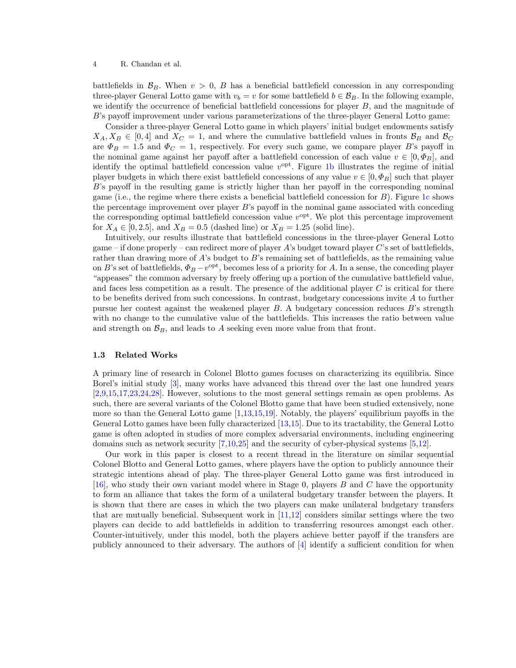battlefields in  $\mathcal{B}_B$ . When  $v > 0$ , B has a beneficial battlefield concession in any corresponding three-player General Lotto game with  $v_b = v$  for some battlefield  $b \in \mathcal{B}_B$ . In the following example, we identify the occurrence of beneficial battlefield concessions for player  $B$ , and the magnitude of B's payoff improvement under various parameterizations of the three-player General Lotto game:

Consider a three-player General Lotto game in which players' initial budget endowments satisfy  $X_A, X_B \in [0, 4]$  and  $X_C = 1$ , and where the cumulative battlefield values in fronts  $\mathcal{B}_B$  and  $\mathcal{B}_C$ are  $\Phi_B = 1.5$  and  $\Phi_C = 1$ , respectively. For every such game, we compare player B's payoff in the nominal game against her payoff after a battlefield concession of each value  $v \in [0, \Phi_B]$ , and identify the optimal battlefield concession value  $v^{\text{opt}}$ . Figure [1b](#page-6-1) illustrates the regime of initial player budgets in which there exist battlefield concessions of any value  $v \in [0, \Phi_B]$  such that player B's payoff in the resulting game is strictly higher than her payoff in the corresponding nominal game (i.e., the regime where there exists a beneficial battlefield concession for  $B$ ). Figure [1c](#page-6-1) shows the percentage improvement over player B's payoff in the nominal game associated with conceding the corresponding optimal battlefield concession value  $v^{\text{opt}}$ . We plot this percentage improvement for  $X_A \in [0, 2.5]$ , and  $X_B = 0.5$  (dashed line) or  $X_B = 1.25$  (solid line).

Intuitively, our results illustrate that battlefield concessions in the three-player General Lotto game – if done properly – can redirect more of player  $A$ 's budget toward player  $C$ 's set of battlefields, rather than drawing more of A's budget to B's remaining set of battlefields, as the remaining value on B's set of battlefields,  $\Phi_B - v^{\text{opt}}$ , becomes less of a priority for A. In a sense, the conceding player "appeases" the common adversary by freely offering up a portion of the cumulative battlefield value, and faces less competition as a result. The presence of the additional player  $C$  is critical for there to be benefits derived from such concessions. In contrast, budgetary concessions invite A to further pursue her contest against the weakened player B. A budgetary concession reduces B's strength with no change to the cumulative value of the battlefields. This increases the ratio between value and strength on  $\mathcal{B}_B$ , and leads to A seeking even more value from that front.

#### <span id="page-5-0"></span>1.3 Related Works

A primary line of research in Colonel Blotto games focuses on characterizing its equilibria. Since Borel's initial study [\[3\]](#page-15-0), many works have advanced this thread over the last one hundred years [\[2,](#page-15-3)[9](#page-15-2)[,15](#page-16-8)[,17,](#page-16-10)[23,](#page-16-7)[24,](#page-16-11)[28\]](#page-16-12). However, solutions to the most general settings remain as open problems. As such, there are several variants of the Colonel Blotto game that have been studied extensively, none more so than the General Lotto game [\[1,](#page-15-4)[13,](#page-16-5)[15,](#page-16-8)[19\]](#page-16-13). Notably, the players' equilibrium payoffs in the General Lotto games have been fully characterized [\[13](#page-16-5)[,15\]](#page-16-8). Due to its tractability, the General Lotto game is often adopted in studies of more complex adversarial environments, including engineering domains such as network security [\[7,](#page-15-5)[10,](#page-15-6)[25\]](#page-16-14) and the security of cyber-physical systems [\[5,](#page-15-7)[12\]](#page-16-15).

Our work in this paper is closest to a recent thread in the literature on similar sequential Colonel Blotto and General Lotto games, where players have the option to publicly announce their strategic intentions ahead of play. The three-player General Lotto game was first introduced in [\[16\]](#page-16-9), who study their own variant model where in Stage 0, players  $B$  and  $C$  have the opportunity to form an alliance that takes the form of a unilateral budgetary transfer between the players. It is shown that there are cases in which the two players can make unilateral budgetary transfers that are mutually beneficial. Subsequent work in [\[11,](#page-16-16)[12\]](#page-16-15) considers similar settings where the two players can decide to add battlefields in addition to transferring resources amongst each other. Counter-intuitively, under this model, both the players achieve better payoff if the transfers are publicly announced to their adversary. The authors of [\[4\]](#page-15-8) identify a sufficient condition for when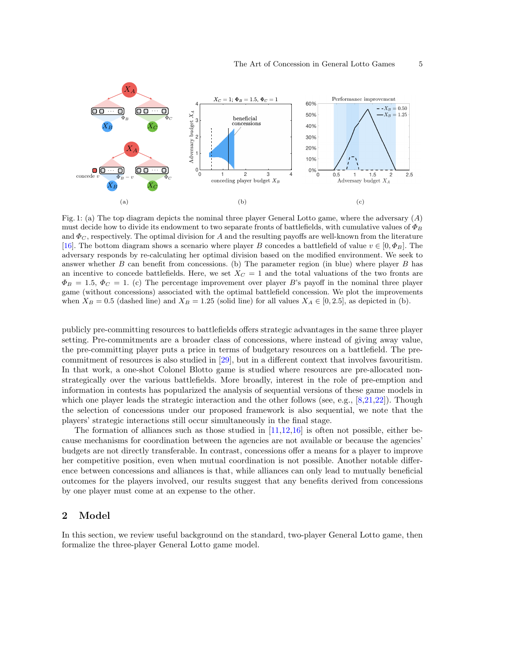<span id="page-6-1"></span>

Fig. 1: (a) The top diagram depicts the nominal three player General Lotto game, where the adversary  $(A)$ must decide how to divide its endowment to two separate fronts of battlefields, with cumulative values of  $\Phi_B$ and  $\Phi_C$ , respectively. The optimal division for A and the resulting payoffs are well-known from the literature [\[16\]](#page-16-9). The bottom diagram shows a scenario where player B concedes a battlefield of value  $v \in [0, \Phi_B]$ . The adversary responds by re-calculating her optimal division based on the modified environment. We seek to answer whether  $B$  can benefit from concessions. (b) The parameter region (in blue) where player  $B$  has an incentive to concede battlefields. Here, we set  $X<sub>C</sub> = 1$  and the total valuations of the two fronts are  $\Phi_B = 1.5, \Phi_C = 1.$  (c) The percentage improvement over player B's payoff in the nominal three player game (without concessions) associated with the optimal battlefield concession. We plot the improvements when  $X_B = 0.5$  (dashed line) and  $X_B = 1.25$  (solid line) for all values  $X_A \in [0, 2.5]$ , as depicted in (b).

publicly pre-committing resources to battlefields offers strategic advantages in the same three player setting. Pre-commitments are a broader class of concessions, where instead of giving away value, the pre-committing player puts a price in terms of budgetary resources on a battlefield. The precommitment of resources is also studied in [\[29\]](#page-16-17), but in a different context that involves favouritism. In that work, a one-shot Colonel Blotto game is studied where resources are pre-allocated nonstrategically over the various battlefields. More broadly, interest in the role of pre-emption and information in contests has popularized the analysis of sequential versions of these game models in which one player leads the strategic interaction and the other follows (see, e.g.,  $[8,21,22]$  $[8,21,22]$  $[8,21,22]$ ). Though the selection of concessions under our proposed framework is also sequential, we note that the players' strategic interactions still occur simultaneously in the final stage.

The formation of alliances such as those studied in  $[11,12,16]$  $[11,12,16]$  $[11,12,16]$  is often not possible, either because mechanisms for coordination between the agencies are not available or because the agencies' budgets are not directly transferable. In contrast, concessions offer a means for a player to improve her competitive position, even when mutual coordination is not possible. Another notable difference between concessions and alliances is that, while alliances can only lead to mutually beneficial outcomes for the players involved, our results suggest that any benefits derived from concessions by one player must come at an expense to the other.

### <span id="page-6-0"></span>2 Model

In this section, we review useful background on the standard, two-player General Lotto game, then formalize the three-player General Lotto game model.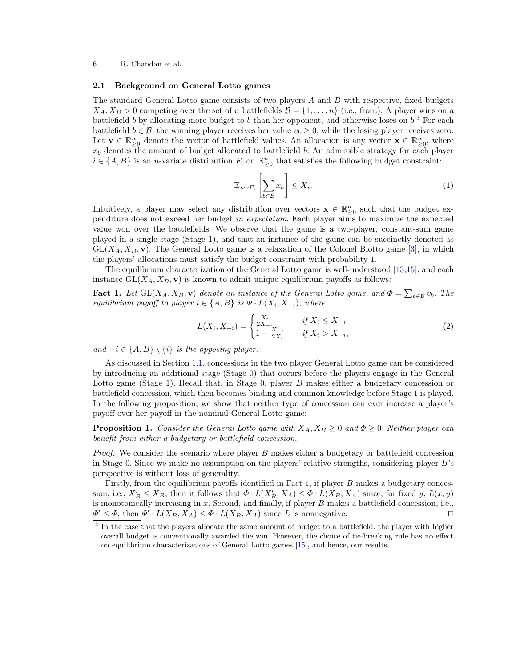#### 2.1 Background on General Lotto games

The standard General Lotto game consists of two players A and B with respective, fixed budgets  $X_A, X_B > 0$  competing over the set of n battlefields  $\mathcal{B} = \{1, \ldots, n\}$  (i.e., front). A player wins on a battlefield b by allocating more budget to b than her opponent, and otherwise loses on  $b<sup>3</sup>$  $b<sup>3</sup>$  $b<sup>3</sup>$ . For each battlefield  $b \in \mathcal{B}$ , the winning player receives her value  $v_b \geq 0$ , while the losing player receives zero. Let  $\mathbf{v} \in \mathbb{R}_{\geq 0}^n$  denote the vector of battlefield values. An allocation is any vector  $\mathbf{x} \in \mathbb{R}_{\geq 0}^n$ , where  $x_b$  denotes the amount of budget allocated to battlefield b. An admissible strategy for each player  $i \in \{A, B\}$  is an *n*-variate distribution  $F_i$  on  $\mathbb{R}^n_{\geq 0}$  that satisfies the following budget constraint:

<span id="page-7-2"></span>
$$
\mathbb{E}_{\mathbf{x}\sim F_i}\left[\sum_{b\in\mathcal{B}}x_b\right] \le X_i.
$$
\n(1)

Intuitively, a player may select any distribution over vectors  $\mathbf{x} \in \mathbb{R}^n_{\geq 0}$  such that the budget expenditure does not exceed her budget in expectation. Each player aims to maximize the expected value won over the battlefields. We observe that the game is a two-player, constant-sum game played in a single stage (Stage 1), and that an instance of the game can be succinctly denoted as  $GL(X_A, X_B, \mathbf{v})$ . The General Lotto game is a relaxation of the Colonel Blotto game [\[3\]](#page-15-0), in which the players' allocations must satisfy the budget constraint with probability 1.

The equilibrium characterization of the General Lotto game is well-understood [\[13,](#page-16-5)[15\]](#page-16-8), and each instance  $GL(X_A, X_B, v)$  is known to admit unique equilibrium payoffs as follows:

**Fact 1.** Let  $GL(X_A, X_B, \mathbf{v})$  denote an instance of the General Lotto game, and  $\Phi = \sum_{b \in \mathcal{B}} v_b$ . The equilibrium payoff to player  $i \in \{A, B\}$  is  $\Phi \cdot L(X_i, X_{-i})$ , where

$$
L(X_i, X_{-i}) = \begin{cases} \frac{X_i}{2X_{-i}} & \text{if } X_i \le X_{-i} \\ 1 - \frac{X_{-i}}{2X_i} & \text{if } X_i > X_{-i}, \end{cases} \tag{2}
$$

and  $-i \in \{A, B\} \setminus \{i\}$  is the opposing player.

As discussed in Section [1.1,](#page-3-0) concessions in the two player General Lotto game can be considered by introducing an additional stage (Stage 0) that occurs before the players engage in the General Lotto game (Stage 1). Recall that, in Stage 0, player B makes either a budgetary concession or battlefield concession, which then becomes binding and common knowledge before Stage 1 is played. In the following proposition, we show that neither type of concession can ever increase a player's payoff over her payoff in the nominal General Lotto game:

<span id="page-7-0"></span>**Proposition 1.** Consider the General Lotto game with  $X_A, X_B \geq 0$  and  $\Phi \geq 0$ . Neither player can benefit from either a budgetary or battlefield concession.

*Proof.* We consider the scenario where player  $B$  makes either a budgetary or battlefield concession in Stage 0. Since we make no assumption on the players' relative strengths, considering player B's perspective is without loss of generality.

Firstly, from the equilibrium payoffs identified in Fact [1,](#page-7-2) if player B makes a budgetary concession, i.e.,  $X'_B \le X_B$ , then it follows that  $\Phi \cdot L(X'_B, X_A) \le \Phi \cdot L(X_B, X_A)$  since, for fixed y,  $L(x, y)$ is monotonically increasing in  $x$ . Second, and finally, if player  $B$  makes a battlefield concession, i.e.,  $\Phi' \leq \Phi$ , then  $\Phi' \cdot L(X_B, X_A) \leq \Phi \cdot L(X_B, X_A)$  since L is nonnegative. □

<span id="page-7-1"></span><sup>&</sup>lt;sup>3</sup> In the case that the players allocate the same amount of budget to a battlefield, the player with higher overall budget is conventionally awarded the win. However, the choice of tie-breaking rule has no effect on equilibrium characterizations of General Lotto games [\[15\]](#page-16-8), and hence, our results.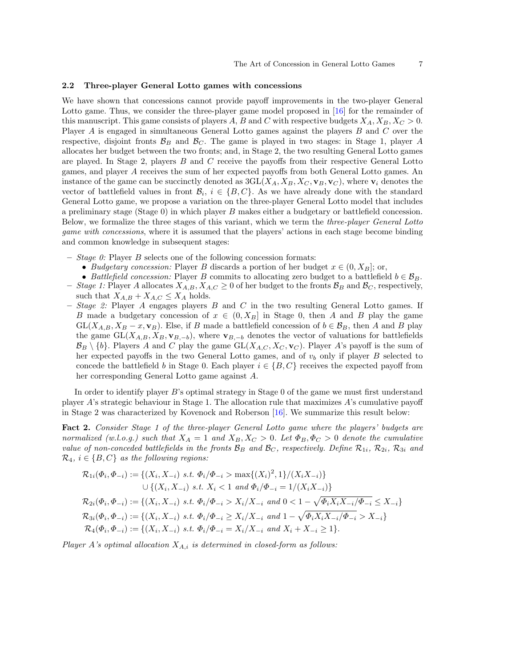#### 2.2 Three-player General Lotto games with concessions

We have shown that concessions cannot provide payoff improvements in the two-player General Lotto game. Thus, we consider the three-player game model proposed in [\[16\]](#page-16-9) for the remainder of this manuscript. This game consists of players A, B and C with respective budgets  $X_A, X_B, X_C > 0$ . Player A is engaged in simultaneous General Lotto games against the players B and C over the respective, disjoint fronts  $\mathcal{B}_B$  and  $\mathcal{B}_C$ . The game is played in two stages: in Stage 1, player A allocates her budget between the two fronts; and, in Stage 2, the two resulting General Lotto games are played. In Stage 2, players  $B$  and  $C$  receive the payoffs from their respective General Lotto games, and player A receives the sum of her expected payoffs from both General Lotto games. An instance of the game can be succinctly denoted as  $3GL(X_A, X_B, X_C, V_B, V_C)$ , where  $V_i$  denotes the vector of battlefield values in front  $\mathcal{B}_i$ ,  $i \in \{B, C\}$ . As we have already done with the standard General Lotto game, we propose a variation on the three-player General Lotto model that includes a preliminary stage (Stage 0) in which player B makes either a budgetary or battlefield concession. Below, we formalize the three stages of this variant, which we term the *three-player General Lotto* game with concessions, where it is assumed that the players' actions in each stage become binding and common knowledge in subsequent stages:

- $-$  *Stage 0:* Player *B* selects one of the following concession formats:
	- Budgetary concession: Player B discards a portion of her budget  $x \in (0, X_B]$ ; or,
- Battlefield concession: Player B commits to allocating zero budget to a battlefield  $b \in \mathcal{B}_B$ .
- Stage 1: Player A allocates  $X_{A,B}, X_{A,C} \geq 0$  of her budget to the fronts  $B_B$  and  $B_C$ , respectively, such that  $X_{A,B} + X_{A,C} \leq X_A$  holds.
- $-$  Stage 2: Player A engages players B and C in the two resulting General Lotto games. If B made a budgetary concession of  $x \in (0, X_B]$  in Stage 0, then A and B play the game  $GL(X_{A,B}, X_B - x, v_B)$ . Else, if B made a battlefield concession of  $b \in \mathcal{B}_B$ , then A and B play the game GL( $X_{A,B}, X_B, \mathbf{v}_{B,-b}$ ), where  $\mathbf{v}_{B,-b}$  denotes the vector of valuations for battlefields  $\mathcal{B}_B \setminus \{b\}$ . Players A and C play the game GL( $X_{A,C}, X_C, V_C$ ). Player A's payoff is the sum of her expected payoffs in the two General Lotto games, and of  $v<sub>b</sub>$  only if player B selected to concede the battlefield b in Stage 0. Each player  $i \in \{B, C\}$  receives the expected payoff from her corresponding General Lotto game against A.

In order to identify player B's optimal strategy in Stage 0 of the game we must first understand player A's strategic behaviour in Stage 1. The allocation rule that maximizes A's cumulative payoff in Stage 2 was characterized by Kovenock and Roberson [\[16\]](#page-16-9). We summarize this result below:

<span id="page-8-0"></span>Fact 2. Consider Stage 1 of the three-player General Lotto game where the players' budgets are normalized (w.l.o.g.) such that  $X_A = 1$  and  $X_B, X_C > 0$ . Let  $\Phi_B, \Phi_C > 0$  denote the cumulative value of non-conceded battlefields in the fronts  $B_B$  and  $B_C$ , respectively. Define  $\mathcal{R}_{1i}$ ,  $\mathcal{R}_{2i}$ ,  $\mathcal{R}_{3i}$  and  $\mathcal{R}_4$ ,  $i \in \{B, C\}$  as the following regions:

$$
\mathcal{R}_{1i}(\Phi_i, \Phi_{-i}) := \{ (X_i, X_{-i}) \text{ s.t. } \Phi_i/\Phi_{-i} > \max\{ (X_i)^2, 1 \} / (X_i X_{-i}) \}
$$
  
\n
$$
\cup \{ (X_i, X_{-i}) \text{ s.t. } X_i < 1 \text{ and } \Phi_i/\Phi_{-i} = 1 / (X_i X_{-i}) \}
$$
  
\n
$$
\mathcal{R}_{2i}(\Phi_i, \Phi_{-i}) := \{ (X_i, X_{-i}) \text{ s.t. } \Phi_i/\Phi_{-i} > X_i / X_{-i} \text{ and } 0 < 1 - \sqrt{\Phi_i X_i X_{-i}/\Phi_{-i}} \le X_{-i} \}
$$
  
\n
$$
\mathcal{R}_{3i}(\Phi_i, \Phi_{-i}) := \{ (X_i, X_{-i}) \text{ s.t. } \Phi_i/\Phi_{-i} \ge X_i / X_{-i} \text{ and } 1 - \sqrt{\Phi_i X_i X_{-i}/\Phi_{-i}} > X_{-i} \}
$$
  
\n
$$
\mathcal{R}_4(\Phi_i, \Phi_{-i}) := \{ (X_i, X_{-i}) \text{ s.t. } \Phi_i/\Phi_{-i} = X_i / X_{-i} \text{ and } X_i + X_{-i} \ge 1 \}.
$$

Player A's optimal allocation  $X_{A,i}$  is determined in closed-form as follows: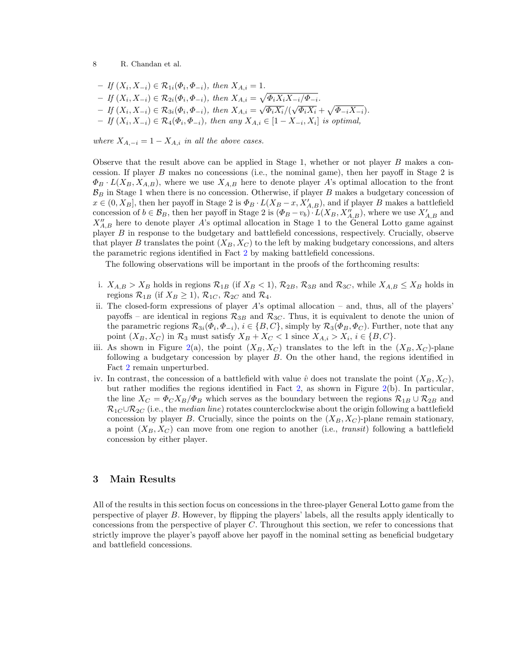$-If(X_i, X_{-i}) \in \mathcal{R}_{1i}(\Phi_i, \Phi_{-i}), \text{ then } X_{A,i} = 1.$  $-$  If (X<sub>i</sub>, X<sub>−i</sub>) ∈ R<sub>2i</sub>( $Φ_i$ ,  $Φ_{-i}$ ), then X<sub>A,i</sub> =  $\sqrt{Φ_i X_i X_{-i}/Φ_{-i}}$ .  $− \textit{If } (X_i, X_{-i}) \in \mathcal{R}_{3i}(\Phi_i, \Phi_{-i}), \textit{ then } X_{A,i} = \sqrt{\Phi_i X_i} / (\sqrt{\Phi_i X_i} + \sqrt{\Phi_{-i} X_{-i}}).$  $-If(X_i, X_{-i}) \in \mathcal{R}_4(\Phi_i, \Phi_{-i}),$  then any  $X_{A,i} \in [1 - X_{-i}, X_i]$  is optimal,

where  $X_{A,-i} = 1 - X_{A,i}$  in all the above cases.

Observe that the result above can be applied in Stage 1, whether or not player  $B$  makes a concession. If player B makes no concessions (i.e., the nominal game), then her payoff in Stage 2 is  $\Phi_B \cdot L(X_B, X_{A,B})$ , where we use  $X_{A,B}$  here to denote player A's optimal allocation to the front  $B_B$  in Stage 1 when there is no concession. Otherwise, if player B makes a budgetary concession of  $x \in (0, X_B]$ , then her payoff in Stage 2 is  $\Phi_B \cdot L(X_B - x, X'_{A,B})$ , and if player B makes a battlefield concession of  $b \in \mathcal{B}_B$ , then her payoff in Stage 2 is  $(\Phi_B - v_b) \cdot L(X_B, X''_{A,B})$ , where we use  $X'_{A,B}$  and  $X''_{A,B}$  here to denote player A's optimal allocation in Stage 1 to the General Lotto game against player B in response to the budgetary and battlefield concessions, respectively. Crucially, observe that player B translates the point  $(X_B, X_C)$  to the left by making budgetary concessions, and alters the parametric regions identified in Fact [2](#page-8-0) by making battlefield concessions.

The following observations will be important in the proofs of the forthcoming results:

- i.  $X_{A,B} > X_B$  holds in regions  $\mathcal{R}_{1B}$  (if  $X_B < 1$ ),  $\mathcal{R}_{2B}$ ,  $\mathcal{R}_{3B}$  and  $\mathcal{R}_{3C}$ , while  $X_{A,B} \le X_B$  holds in regions  $\mathcal{R}_{1B}$  (if  $X_B \ge 1$ ),  $\mathcal{R}_{1C}$ ,  $\mathcal{R}_{2C}$  and  $\mathcal{R}_4$ .
- ii. The closed-form expressions of player  $A$ 's optimal allocation and, thus, all of the players' payoffs – are identical in regions  $\mathcal{R}_{3B}$  and  $\mathcal{R}_{3C}$ . Thus, it is equivalent to denote the union of the parametric regions  $\mathcal{R}_{3i}(\Phi_i, \Phi_{-i}), i \in \{B, C\}$ , simply by  $\mathcal{R}_3(\Phi_B, \Phi_C)$ . Further, note that any point  $(X_B, X_C)$  in  $\mathcal{R}_3$  must satisfy  $X_B + X_C < 1$  since  $X_{A,i} > X_i$ ,  $i \in \{B, C\}$ .
- iii. As shown in Figure [2\(](#page-10-1)a), the point  $(X_B, X_C)$  translates to the left in the  $(X_B, X_C)$ -plane following a budgetary concession by player B. On the other hand, the regions identified in Fact [2](#page-8-0) remain unperturbed.
- iv. In contrast, the concession of a battlefield with value  $\hat{v}$  does not translate the point  $(X_B, X_C)$ , but rather modifies the regions identified in Fact [2,](#page-8-0) as shown in Figure [2\(](#page-10-1)b). In particular, the line  $X_C = \Phi_C X_B / \Phi_B$  which serves as the boundary between the regions  $\mathcal{R}_{1B} \cup \mathcal{R}_{2B}$  and  $\mathcal{R}_{1C} \cup \mathcal{R}_{2C}$  (i.e., the median line) rotates counterclockwise about the origin following a battlefield concession by player B. Crucially, since the points on the  $(X_B, X_C)$ -plane remain stationary, a point  $(X_B, X_C)$  can move from one region to another (i.e., *transit*) following a battlefield concession by either player.

## 3 Main Results

All of the results in this section focus on concessions in the three-player General Lotto game from the perspective of player B. However, by flipping the players' labels, all the results apply identically to concessions from the perspective of player C. Throughout this section, we refer to concessions that strictly improve the player's payoff above her payoff in the nominal setting as beneficial budgetary and battlefield concessions.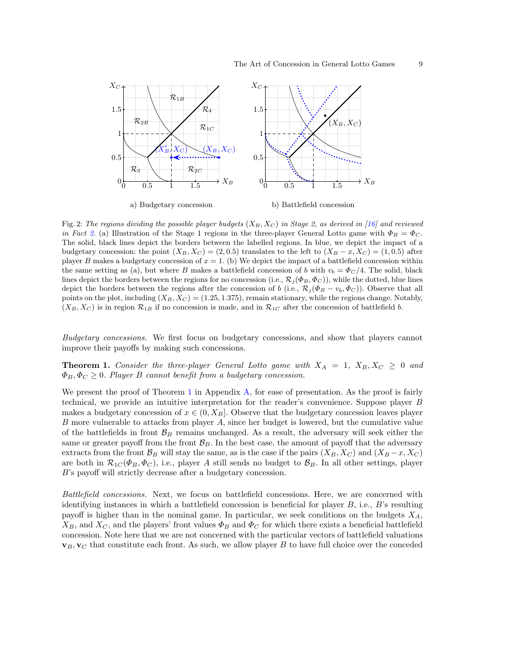<span id="page-10-1"></span>

Fig. 2: The regions dividing the possible player budgets  $(X_B, X_C)$  in Stage 2, as derived in [\[16\]](#page-16-9) and reviewed in Fact [2.](#page-8-0) (a) Illustration of the Stage 1 regions in the three-player General Lotto game with  $\Phi_B = \Phi_C$ . The solid, black lines depict the borders between the labelled regions. In blue, we depict the impact of a budgetary concession: the point  $(X_B, X_C) = (2, 0.5)$  translates to the left to  $(X_B - x, X_C) = (1, 0.5)$  after player B makes a budgetary concession of  $x = 1$ . (b) We depict the impact of a battlefield concession within the same setting as (a), but where B makes a battlefield concession of b with  $v_b = \Phi_C/4$ . The solid, black lines depict the borders between the regions for no concession (i.e.,  $\mathcal{R}_j(\Phi_B, \Phi_C)$ ), while the dotted, blue lines depict the borders between the regions after the concession of b (i.e.,  $\mathcal{R}_j(\Phi_B - v_b, \Phi_C)$ ). Observe that all points on the plot, including  $(X_B, X_C) = (1.25, 1.375)$ , remain stationary, while the regions change. Notably,  $(X_B, X_C)$  is in region  $\mathcal{R}_{1B}$  if no concession is made, and in  $\mathcal{R}_{1C}$  after the concession of battlefield b.

<span id="page-10-0"></span>Budgetary concessions. We first focus on budgetary concessions, and show that players cannot improve their payoffs by making such concessions.

**Theorem 1.** Consider the three-player General Lotto game with  $X_A = 1$ ,  $X_B, X_C \geq 0$  and  $\Phi_B, \Phi_C \geq 0$ . Player B cannot benefit from a budgetary concession.

We present the proof of Theorem [1](#page-10-0) in Appendix [A,](#page-13-0) for ease of presentation. As the proof is fairly technical, we provide an intuitive interpretation for the reader's convenience. Suppose player B makes a budgetary concession of  $x \in (0, X_B]$ . Observe that the budgetary concession leaves player B more vulnerable to attacks from player A, since her budget is lowered, but the cumulative value of the battlefields in front  $\mathcal{B}_B$  remains unchanged. As a result, the adversary will seek either the same or greater payoff from the front  $\mathcal{B}_B$ . In the best case, the amount of payoff that the adversary extracts from the front  $\mathcal{B}_B$  will stay the same, as is the case if the pairs  $(X_B, X_C)$  and  $(X_B - x, X_C)$ are both in  $\mathcal{R}_{1C}(\Phi_B, \Phi_C)$ , i.e., player A still sends no budget to  $\mathcal{B}_B$ . In all other settings, player B's payoff will strictly decrease after a budgetary concession.

Battlefield concessions. Next, we focus on battlefield concessions. Here, we are concerned with identifying instances in which a battlefield concession is beneficial for player  $B$ , i.e.,  $B$ 's resulting payoff is higher than in the nominal game. In particular, we seek conditions on the budgets  $X_A$ ,  $X_B$ , and  $X_C$ , and the players' front values  $\Phi_B$  and  $\Phi_C$  for which there exists a beneficial battlefield concession. Note here that we are not concerned with the particular vectors of battlefield valuations  $\mathbf{v}_B, \mathbf{v}_C$  that constitute each front. As such, we allow player B to have full choice over the conceded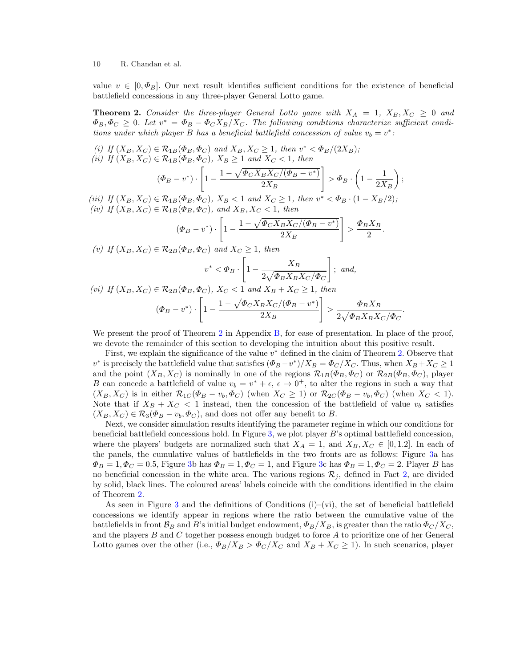value  $v \in [0, \Phi_B]$ . Our next result identifies sufficient conditions for the existence of beneficial battlefield concessions in any three-player General Lotto game.

<span id="page-11-0"></span>**Theorem 2.** Consider the three-player General Lotto game with  $X_A = 1$ ,  $X_B, X_C \geq 0$  and  $\Phi_B, \Phi_C \geq 0$ . Let  $v^* = \Phi_B - \Phi_C X_B/X_C$ . The following conditions characterize sufficient conditions under which player B has a beneficial battlefield concession of value  $v_b = v^*$ .

(i) If  $(X_B, X_C) \in \mathcal{R}_{1B}(\Phi_B, \Phi_C)$  and  $X_B, X_C \ge 1$ , then  $v^* < \Phi_B/(2X_B)$ ; (ii) If  $(X_B, X_C) \in \mathcal{R}_{1B}(\Phi_B, \Phi_C)$ ,  $X_B \ge 1$  and  $X_C < 1$ , then

$$
(\Phi_B - v^*) \cdot \left[1 - \frac{1 - \sqrt{\Phi_C X_B X_C / (\Phi_B - v^*)}}{2X_B}\right] > \Phi_B \cdot \left(1 - \frac{1}{2X_B}\right);
$$

(iii) If  $(X_B, X_C) \in \mathcal{R}_{1B}(\Phi_B, \Phi_C)$ ,  $X_B < 1$  and  $X_C \ge 1$ , then  $v^* < \Phi_B \cdot (1 - X_B/2)$ ; (iv) If  $(X_B, X_C) \in \mathcal{R}_{1B}(\Phi_B, \Phi_C)$ , and  $X_B, X_C < 1$ , then

$$
(\Phi_B - v^*) \cdot \left[1 - \frac{1 - \sqrt{\Phi_C X_B X_C / (\Phi_B - v^*)}}{2X_B}\right] > \frac{\Phi_B X_B}{2}.
$$

(v) If  $(X_B, X_C) \in \mathcal{R}_{2B}(\Phi_B, \Phi_C)$  and  $X_C \ge 1$ , then

$$
v^* < \Phi_B \cdot \left[1 - \frac{X_B}{2\sqrt{\Phi_B X_B X_C/\Phi_C}}\right]; \text{ and,}
$$

.

$$
(vi) \ \ If \ (X_B, X_C) \in \mathcal{R}_{2B}(\Phi_B, \Phi_C), \ X_C < 1 \ \ and \ X_B + X_C \ge 1, \ then
$$
\n
$$
(\Phi_B - v^*) \cdot \left[1 - \frac{1 - \sqrt{\Phi_C X_B X_C / (\Phi_B - v^*)}}{2X_B}\right] > \frac{\Phi_B X_B}{2\sqrt{\Phi_B X_B X_C / \Phi_C}}
$$

We present the proof of Theorem [2](#page-11-0) in Appendix [B,](#page-14-0) for ease of presentation. In place of the proof, we devote the remainder of this section to developing the intuition about this positive result.

First, we explain the significance of the value  $v^*$  defined in the claim of Theorem [2.](#page-11-0) Observe that  $v^*$  is precisely the battlefield value that satisfies  $(\Phi_B - v^*)/X_B = \Phi_C/X_C$ . Thus, when  $X_B + X_C \ge 1$ and the point  $(X_B, X_C)$  is nominally in one of the regions  $\mathcal{R}_{1B}(\Phi_B, \Phi_C)$  or  $\mathcal{R}_{2B}(\Phi_B, \Phi_C)$ , player B can concede a battlefield of value  $v_b = v^* + \epsilon$ ,  $\epsilon \to 0^+$ , to alter the regions in such a way that  $(X_B, X_C)$  is in either  $\mathcal{R}_{1C}(\Phi_B - v_b, \Phi_C)$  (when  $X_C \ge 1$ ) or  $\mathcal{R}_{2C}(\Phi_B - v_b, \Phi_C)$  (when  $X_C < 1$ ). Note that if  $X_B + X_C < 1$  instead, then the concession of the battlefield of value  $v_b$  satisfies  $(X_B, X_C) \in \mathcal{R}_3(\Phi_B - v_b, \Phi_C)$ , and does not offer any benefit to B.

Next, we consider simulation results identifying the parameter regime in which our conditions for beneficial battlefield concessions hold. In Figure [3,](#page-12-0) we plot player B's optimal battlefield concession, where the players' budgets are normalized such that  $X_A = 1$ , and  $X_B, X_C \in [0, 1.2]$ . In each of the panels, the cumulative values of battlefields in the two fronts are as follows: Figure [3a](#page-12-0) has  $\Phi_B = 1, \Phi_C = 0.5$ , Figure [3b](#page-12-0) has  $\Phi_B = 1, \Phi_C = 1$ , and Figure [3c](#page-12-0) has  $\Phi_B = 1, \Phi_C = 2$ . Player B has no beneficial concession in the white area. The various regions  $\mathcal{R}_i$ , defined in Fact [2,](#page-8-0) are divided by solid, black lines. The coloured areas' labels coincide with the conditions identified in the claim of Theorem [2.](#page-11-0)

As seen in Figure [3](#page-12-0) and the definitions of Conditions  $(i)$ –(vi), the set of beneficial battlefield concessions we identify appear in regions where the ratio between the cumulative value of the battlefields in front  $\mathcal{B}_B$  and B's initial budget endowment,  $\Phi_B/X_B$ , is greater than the ratio  $\Phi_C/X_C$ , and the players  $B$  and  $C$  together possess enough budget to force  $A$  to prioritize one of her General Lotto games over the other (i.e.,  $\Phi_B/X_B > \Phi_C/X_C$  and  $X_B + X_C \ge 1$ ). In such scenarios, player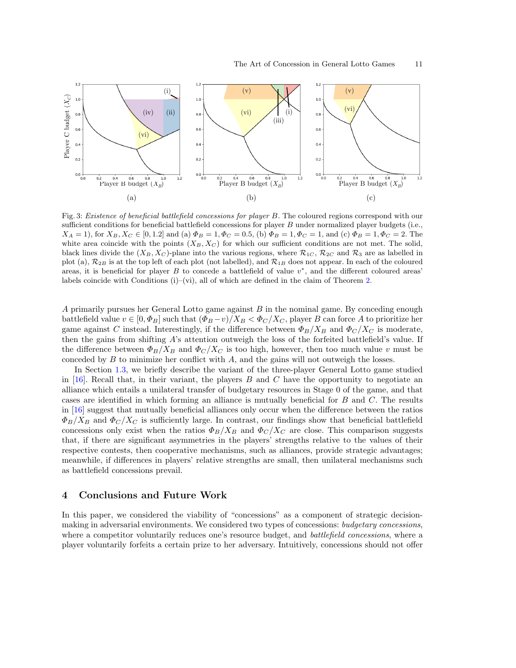<span id="page-12-0"></span>

Fig. 3: Existence of beneficial battlefield concessions for player B. The coloured regions correspond with our sufficient conditions for beneficial battlefield concessions for player B under normalized player budgets (i.e.,  $X_A = 1$ , for  $X_B, X_C \in [0, 1.2]$  and (a)  $\Phi_B = 1, \Phi_C = 0.5$ , (b)  $\Phi_B = 1, \Phi_C = 1$ , and (c)  $\Phi_B = 1, \Phi_C = 2$ . The white area coincide with the points  $(X_B, X_C)$  for which our sufficient conditions are not met. The solid, black lines divide the  $(X_B, X_C)$ -plane into the various regions, where  $\mathcal{R}_{1C}$ ,  $\mathcal{R}_{2C}$  and  $\mathcal{R}_3$  are as labelled in plot (a),  $\mathcal{R}_{2B}$  is at the top left of each plot (not labelled), and  $\mathcal{R}_{1B}$  does not appear. In each of the coloured areas, it is beneficial for player  $B$  to concede a battlefield of value  $v^*$ , and the different coloured areas' labels coincide with Conditions  $(i)$ –(vi), all of which are defined in the claim of Theorem [2.](#page-11-0)

A primarily pursues her General Lotto game against B in the nominal game. By conceding enough battlefield value  $v \in [0, \Phi_B]$  such that  $(\Phi_B - v)/X_B < \Phi_C/X_C$ , player B can force A to prioritize her game against C instead. Interestingly, if the difference between  $\Phi_B/X_B$  and  $\Phi_C/X_C$  is moderate, then the gains from shifting  $A$ 's attention outweigh the loss of the forfeited battlefield's value. If the difference between  $\Phi_B/X_B$  and  $\Phi_C/X_C$  is too high, however, then too much value v must be conceded by  $B$  to minimize her conflict with  $A$ , and the gains will not outweigh the losses.

In Section [1.3,](#page-5-0) we briefly describe the variant of the three-player General Lotto game studied in  $[16]$ . Recall that, in their variant, the players B and C have the opportunity to negotiate an alliance which entails a unilateral transfer of budgetary resources in Stage 0 of the game, and that cases are identified in which forming an alliance is mutually beneficial for B and C. The results in [\[16\]](#page-16-9) suggest that mutually beneficial alliances only occur when the difference between the ratios  $\Phi_B/X_B$  and  $\Phi_C/X_C$  is sufficiently large. In contrast, our findings show that beneficial battlefield concessions only exist when the ratios  $\Phi_B/X_B$  and  $\Phi_C/X_C$  are close. This comparison suggests that, if there are significant asymmetries in the players' strengths relative to the values of their respective contests, then cooperative mechanisms, such as alliances, provide strategic advantages; meanwhile, if differences in players' relative strengths are small, then unilateral mechanisms such as battlefield concessions prevail.

### 4 Conclusions and Future Work

In this paper, we considered the viability of "concessions" as a component of strategic decisionmaking in adversarial environments. We considered two types of concessions: *budgetary concessions*, where a competitor voluntarily reduces one's resource budget, and *battlefield concessions*, where a player voluntarily forfeits a certain prize to her adversary. Intuitively, concessions should not offer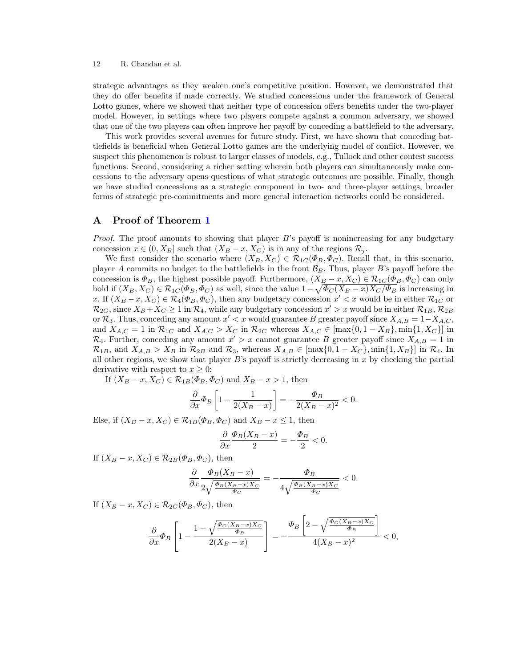strategic advantages as they weaken one's competitive position. However, we demonstrated that they do offer benefits if made correctly. We studied concessions under the framework of General Lotto games, where we showed that neither type of concession offers benefits under the two-player model. However, in settings where two players compete against a common adversary, we showed that one of the two players can often improve her payoff by conceding a battlefield to the adversary.

This work provides several avenues for future study. First, we have shown that conceding battlefields is beneficial when General Lotto games are the underlying model of conflict. However, we suspect this phenomenon is robust to larger classes of models, e.g., Tullock and other contest success functions. Second, considering a richer setting wherein both players can simultaneously make concessions to the adversary opens questions of what strategic outcomes are possible. Finally, though we have studied concessions as a strategic component in two- and three-player settings, broader forms of strategic pre-commitments and more general interaction networks could be considered.

## <span id="page-13-0"></span>A Proof of Theorem [1](#page-10-0)

*Proof.* The proof amounts to showing that player B's payoff is nonincreasing for any budgetary concession  $x \in (0, X_B]$  such that  $(X_B - x, X_C)$  is in any of the regions  $\mathcal{R}_j$ .

We first consider the scenario where  $(X_B, X_C) \in \mathcal{R}_{1C}(\Phi_B, \Phi_C)$ . Recall that, in this scenario, player A commits no budget to the battlefields in the front  $\mathcal{B}_B$ . Thus, player B's payoff before the concession is  $\Phi_B$ , the highest possible payoff. Furthermore,  $(X_B - x, X_C) \in \mathcal{R}_{1C}(\Phi_B, \Phi_C)$  can only hold if  $(X_B, X_C) \in \mathcal{R}_{1C}(\Phi_B, \Phi_C)$  as well, since the value  $1 - \sqrt{\Phi_C(X_B - x)X_C/\Phi_B}$  is increasing in x. If  $(X_B - x, X_C) \in \mathcal{R}_4(\Phi_B, \Phi_C)$ , then any budgetary concession  $x' < x$  would be in either  $\mathcal{R}_{1C}$  or  $\mathcal{R}_{2C}$ , since  $X_B + X_C \ge 1$  in  $\mathcal{R}_4$ , while any budgetary concession  $x' > x$  would be in either  $\mathcal{R}_{1B}$ ,  $\mathcal{R}_{2B}$ or  $\mathcal{R}_3$ . Thus, conceding any amount  $x' < x$  would guarantee B greater payoff since  $X_{A,B} = 1-X_{A,C}$ , and  $X_{A,C} = 1$  in  $\mathcal{R}_{1C}$  and  $X_{A,C} > X_C$  in  $\mathcal{R}_{2C}$  whereas  $X_{A,C} \in [\max\{0, 1 - X_B\}, \min\{1, X_C\}]$  in  $\mathcal{R}_4$ . Further, conceding any amount  $x' > x$  cannot guarantee B greater payoff since  $X_{A,B} = 1$  in  $\mathcal{R}_{1B}$ , and  $X_{A,B} > X_B$  in  $\mathcal{R}_{2B}$  and  $\mathcal{R}_3$ , whereas  $X_{A,B} \in [\max\{0, 1 - X_C\}, \min\{1, X_B\}]$  in  $\mathcal{R}_4$ . In all other regions, we show that player  $B$ 's payoff is strictly decreasing in x by checking the partial derivative with respect to  $x \geq 0$ :

If  $(X_B - x, X_C) \in \mathcal{R}_{1B}(\Phi_B, \Phi_C)$  and  $X_B - x > 1$ , then

$$
\frac{\partial}{\partial x}\Phi_B \left[1 - \frac{1}{2(X_B - x)}\right] = -\frac{\Phi_B}{2(X_B - x)^2} < 0.
$$

Else, if  $(X_B - x, X_C) \in \mathcal{R}_{1B}(\Phi_B, \Phi_C)$  and  $X_B - x \leq 1$ , then

$$
\frac{\partial}{\partial x}\frac{\Phi_B(X_B - x)}{2} = -\frac{\Phi_B}{2} < 0.
$$

If  $(X_B - x, X_C) \in \mathcal{R}_{2B}(\Phi_B, \Phi_C)$ , then

$$
\frac{\partial}{\partial x}\frac{\Phi_B(X_B - x)}{2\sqrt{\frac{\Phi_B(X_B - x)X_C}{\Phi_C}}} = -\frac{\Phi_B}{4\sqrt{\frac{\Phi_B(X_B - x)X_C}{\Phi_C}}} < 0.
$$

If  $(X_B - x, X_C) \in \mathcal{R}_{2C}(\Phi_B, \Phi_C)$ , then

$$
\frac{\partial}{\partial x}\Phi_B\left[1-\frac{1-\sqrt{\frac{\Phi_C(X_B-x)X_C}{\Phi_B}}}{2(X_B-x)}\right] = -\frac{\Phi_B\left[2-\sqrt{\frac{\Phi_C(X_B-x)X_C}{\Phi_B}}\right]}{4(X_B-x)^2} < 0,
$$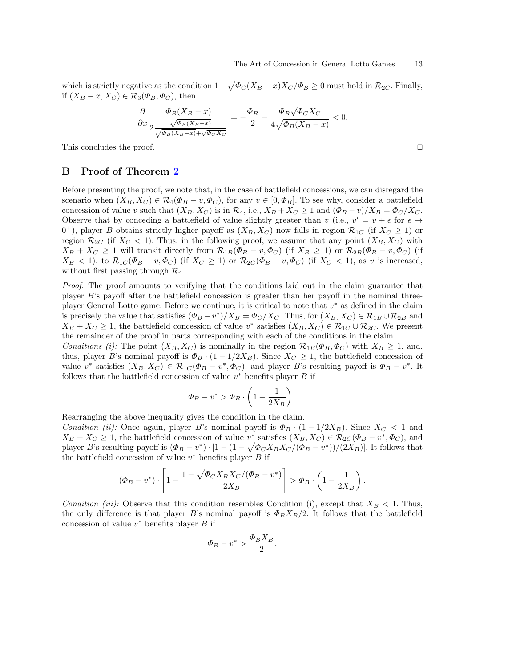which is strictly negative as the condition  $1 - \sqrt{\Phi_C (X_B - x) X_C / \Phi_B} \ge 0$  must hold in  $\mathcal{R}_{2C}$ . Finally, if  $(X_B - x, X_C) \in \mathcal{R}_3(\Phi_B, \Phi_C)$ , then

$$
\frac{\partial}{\partial x}\frac{\Phi_B(X_B-x)}{2\frac{\sqrt{\Phi_B(X_B-x)}}{\sqrt{\Phi_B(X_B-x)}+\sqrt{\Phi_C X_C}}}=-\frac{\Phi_B}{2}-\frac{\Phi_B\sqrt{\Phi_C X_C}}{4\sqrt{\Phi_B(X_B-x)}}<0.
$$

This concludes the proof. □

# <span id="page-14-0"></span>B Proof of Theorem [2](#page-11-0)

Before presenting the proof, we note that, in the case of battlefield concessions, we can disregard the scenario when  $(X_B, X_C) \in \mathcal{R}_4(\Phi_B - v, \Phi_C)$ , for any  $v \in [0, \Phi_B]$ . To see why, consider a battlefield concession of value v such that  $(X_B, X_C)$  is in  $\mathcal{R}_4$ , i.e.,  $X_B + X_C \geq 1$  and  $(\Phi_B - v)/X_B = \Phi_C/X_C$ . Observe that by conceding a battlefield of value slightly greater than v (i.e.,  $v' = v + \epsilon$  for  $\epsilon \to$  $(0^+)$ , player B obtains strictly higher payoff as  $(X_B, X_C)$  now falls in region  $\mathcal{R}_{1C}$  (if  $X_C \ge 1$ ) or region  $\mathcal{R}_{2C}$  (if  $X_C < 1$ ). Thus, in the following proof, we assume that any point  $(X_B, X_C)$  with  $X_B + X_C \ge 1$  will transit directly from  $\mathcal{R}_{1B}(\Phi_B - v, \Phi_C)$  (if  $X_B \ge 1$ ) or  $\mathcal{R}_{2B}(\Phi_B - v, \Phi_C)$  (if  $X_B < 1$ , to  $\mathcal{R}_{1C}(\Phi_B - v, \Phi_C)$  (if  $X_C \ge 1$ ) or  $\mathcal{R}_{2C}(\Phi_B - v, \Phi_C)$  (if  $X_C < 1$ ), as v is increased, without first passing through  $\mathcal{R}_4$ .

Proof. The proof amounts to verifying that the conditions laid out in the claim guarantee that player B's payoff after the battlefield concession is greater than her payoff in the nominal threeplayer General Lotto game. Before we continue, it is critical to note that  $v^*$  as defined in the claim is precisely the value that satisfies  $(\Phi_B - v^*)/X_B = \Phi_C/X_C$ . Thus, for  $(X_B, X_C) \in \mathcal{R}_{1B} \cup \mathcal{R}_{2B}$  and  $X_B + X_C \geq 1$ , the battlefield concession of value v<sup>\*</sup> satisfies  $(X_B, X_C) \in \mathcal{R}_{1C} \cup \mathcal{R}_{2C}$ . We present the remainder of the proof in parts corresponding with each of the conditions in the claim.

Conditions (i): The point  $(X_B, X_C)$  is nominally in the region  $\mathcal{R}_{1B}(\Phi_B, \Phi_C)$  with  $X_B \geq 1$ , and, thus, player B's nominal payoff is  $\Phi_B \cdot (1 - 1/2X_B)$ . Since  $X_C \geq 1$ , the battlefield concession of value  $v^*$  satisfies  $(X_B, X_C) \in \mathcal{R}_{1C}(\Phi_B - v^*, \Phi_C)$ , and player B's resulting payoff is  $\Phi_B - v^*$ . It follows that the battlefield concession of value  $v^*$  benefits player  $B$  if

$$
\Phi_B - v^* > \Phi_B \cdot \left(1 - \frac{1}{2X_B}\right).
$$

Rearranging the above inequality gives the condition in the claim.

Condition (ii): Once again, player B's nominal payoff is  $\Phi_B \cdot (1 - 1/2X_B)$ . Since  $X_C < 1$  and  $X_B + X_C \geq 1$ , the battlefield concession of value  $v^*$  satisfies  $(X_B, X_C) \in \mathcal{R}_{2C}(\Phi_B - v^*, \Phi_C)$ , and player B's resulting payoff is  $(\Phi_B - v^*) \cdot [1 - (1 - \sqrt{\Phi_C X_B X_C / (\Phi_B - v^*)})/(2X_B)]$ . It follows that the battlefield concession of value  $v^*$  benefits player  $B$  if

$$
(\Phi_B - v^*) \cdot \left[1 - \frac{1 - \sqrt{\Phi_C X_B X_C / (\Phi_B - v^*)}}{2X_B}\right] > \Phi_B \cdot \left(1 - \frac{1}{2X_B}\right).
$$

Condition (iii): Observe that this condition resembles Condition (i), except that  $X_B < 1$ . Thus, the only difference is that player B's nominal payoff is  $\Phi_B X_B/2$ . It follows that the battlefield concession of value  $v^*$  benefits player  $B$  if

$$
\Phi_B - v^* > \frac{\Phi_B X_B}{2}.
$$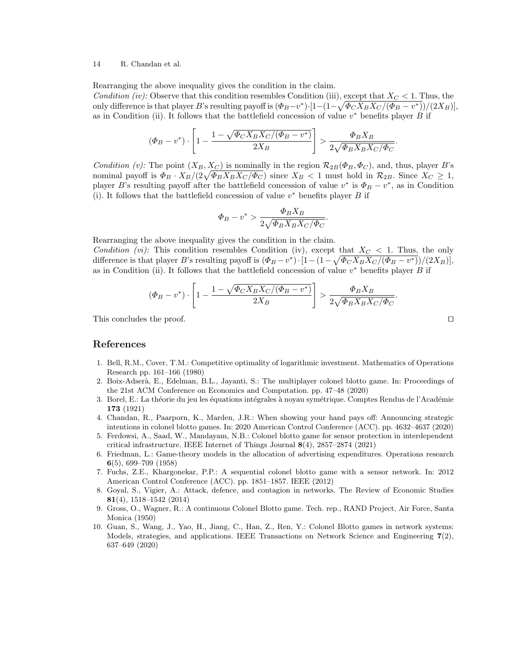Rearranging the above inequality gives the condition in the claim.

Condition (iv): Observe that this condition resembles Condition (iii), except that  $X_C < 1$ . Thus, the only difference is that player B's resulting payoff is  $(\Phi_B - v^*) \cdot [1 - (1 - \sqrt{\Phi_C X_B X_C / (\Phi_B - v^*)})/(2X_B)],$ as in Condition (ii). It follows that the battlefield concession of value  $v^*$  benefits player  $B$  if

$$
(\Phi_B - v^*) \cdot \left[1 - \frac{1 - \sqrt{\Phi_C X_B X_C / (\Phi_B - v^*)}}{2X_B}\right] > \frac{\Phi_B X_B}{2\sqrt{\Phi_B X_B X_C / \Phi_C}}
$$

.

Condition (v): The point  $(X_B, X_C)$  is nominally in the region  $\mathcal{R}_{2B}(\Phi_B, \Phi_C)$ , and, thus, player B's nominal payoff is  $\Phi_B \cdot X_B/(2\sqrt{\Phi_B X_B X_C/\Phi_C})$  since  $X_B < 1$  must hold in  $\mathcal{R}_{2B}$ . Since  $X_C \geq 1$ , player B's resulting payoff after the battlefield concession of value  $v^*$  is  $\Phi_B - v^*$ , as in Condition (i). It follows that the battlefield concession of value  $v^*$  benefits player  $B$  if

$$
\varPhi_B-v^*>\frac{\varPhi_BX_B}{2\sqrt{\varPhi_BX_BX_C/\varPhi_C}}
$$

Rearranging the above inequality gives the condition in the claim. Condition (vi): This condition resembles Condition (iv), except that  $X_C < 1$ . Thus, the only difference is that player B's resulting payoff is  $(\Phi_B - v^*) \cdot [1 - (1 - \sqrt{\Phi_C X_B X_C / (\Phi_B - v^*)})/(2X_B)],$ as in Condition (ii). It follows that the battlefield concession of value  $v^*$  benefits player B if

$$
(\Phi_B - v^*) \cdot \left[1 - \frac{1 - \sqrt{\Phi_C X_B X_C / (\Phi_B - v^*)}}{2X_B}\right] > \frac{\Phi_B X_B}{2\sqrt{\Phi_B X_B X_C / \Phi_C}}.
$$

.

This concludes the proof. □

### References

- <span id="page-15-4"></span>1. Bell, R.M., Cover, T.M.: Competitive optimality of logarithmic investment. Mathematics of Operations Research pp. 161–166 (1980)
- <span id="page-15-3"></span>2. Boix-Adser`a, E., Edelman, B.L., Jayanti, S.: The multiplayer colonel blotto game. In: Proceedings of the 21st ACM Conference on Economics and Computation. pp. 47–48 (2020)
- <span id="page-15-0"></span>3. Borel, E.: La théorie du jeu les équations intégrales à noyau symétrique. Comptes Rendus de l'Académie 173 (1921)
- <span id="page-15-8"></span>4. Chandan, R., Paarporn, K., Marden, J.R.: When showing your hand pays off: Announcing strategic intentions in colonel blotto games. In: 2020 American Control Conference (ACC). pp. 4632–4637 (2020)
- <span id="page-15-7"></span>5. Ferdowsi, A., Saad, W., Mandayam, N.B.: Colonel blotto game for sensor protection in interdependent critical infrastructure. IEEE Internet of Things Journal 8(4), 2857–2874 (2021)
- <span id="page-15-1"></span>6. Friedman, L.: Game-theory models in the allocation of advertising expenditures. Operations research 6(5), 699–709 (1958)
- <span id="page-15-5"></span>7. Fuchs, Z.E., Khargonekar, P.P.: A sequential colonel blotto game with a sensor network. In: 2012 American Control Conference (ACC). pp. 1851–1857. IEEE (2012)
- <span id="page-15-9"></span>8. Goyal, S., Vigier, A.: Attack, defence, and contagion in networks. The Review of Economic Studies 81(4), 1518–1542 (2014)
- <span id="page-15-2"></span>9. Gross, O., Wagner, R.: A continuous Colonel Blotto game. Tech. rep., RAND Project, Air Force, Santa Monica (1950)
- <span id="page-15-6"></span>10. Guan, S., Wang, J., Yao, H., Jiang, C., Han, Z., Ren, Y.: Colonel Blotto games in network systems: Models, strategies, and applications. IEEE Transactions on Network Science and Engineering 7(2), 637–649 (2020)